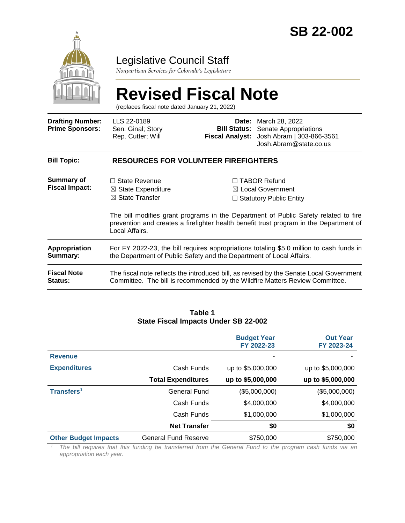

# Legislative Council Staff

*Nonpartisan Services for Colorado's Legislature*

# **Revised Fiscal Note**

(replaces fiscal note dated January 21, 2022)

| <b>Drafting Number:</b><br><b>Prime Sponsors:</b> | LLS 22-0189<br>Sen. Ginal; Story<br>Rep. Cutter; Will                                                                                                                                           | <b>Fiscal Analyst:</b> | <b>Date:</b> March 28, 2022<br><b>Bill Status:</b> Senate Appropriations<br>Josh Abram   303-866-3561<br>Josh.Abram@state.co.us                                         |  |  |  |
|---------------------------------------------------|-------------------------------------------------------------------------------------------------------------------------------------------------------------------------------------------------|------------------------|-------------------------------------------------------------------------------------------------------------------------------------------------------------------------|--|--|--|
| <b>Bill Topic:</b>                                | <b>RESOURCES FOR VOLUNTEER FIREFIGHTERS</b>                                                                                                                                                     |                        |                                                                                                                                                                         |  |  |  |
| Summary of<br><b>Fiscal Impact:</b>               | $\Box$ State Revenue<br>$\boxtimes$ State Expenditure<br>$\boxtimes$ State Transfer                                                                                                             |                        | $\Box$ TABOR Refund<br>$\boxtimes$ Local Government<br>$\Box$ Statutory Public Entity                                                                                   |  |  |  |
|                                                   | The bill modifies grant programs in the Department of Public Safety related to fire<br>prevention and creates a firefighter health benefit trust program in the Department of<br>Local Affairs. |                        |                                                                                                                                                                         |  |  |  |
| Appropriation<br>Summary:                         | For FY 2022-23, the bill requires appropriations totaling \$5.0 million to cash funds in<br>the Department of Public Safety and the Department of Local Affairs.                                |                        |                                                                                                                                                                         |  |  |  |
| <b>Fiscal Note</b><br>Status:                     |                                                                                                                                                                                                 |                        | The fiscal note reflects the introduced bill, as revised by the Senate Local Government<br>Committee. The bill is recommended by the Wildfire Matters Review Committee. |  |  |  |

#### **Table 1 State Fiscal Impacts Under SB 22-002**

|                             |                             | <b>Budget Year</b><br>FY 2022-23 | <b>Out Year</b><br>FY 2023-24 |
|-----------------------------|-----------------------------|----------------------------------|-------------------------------|
| <b>Revenue</b>              |                             | ۰                                |                               |
| <b>Expenditures</b>         | Cash Funds                  | up to \$5,000,000                | up to \$5,000,000             |
|                             | <b>Total Expenditures</b>   | up to \$5,000,000                | up to \$5,000,000             |
| Transfers <sup>1</sup>      | <b>General Fund</b>         | (\$5,000,000)                    | (\$5,000,000)                 |
|                             | Cash Funds                  | \$4,000,000                      | \$4,000,000                   |
|                             | Cash Funds                  | \$1,000,000                      | \$1,000,000                   |
|                             | <b>Net Transfer</b>         | \$0                              | \$0                           |
| <b>Other Budget Impacts</b> | <b>General Fund Reserve</b> | \$750,000                        | \$750,000                     |

*<sup>1</sup> The bill requires that this funding be transferred from the General Fund to the program cash funds via an appropriation each year.*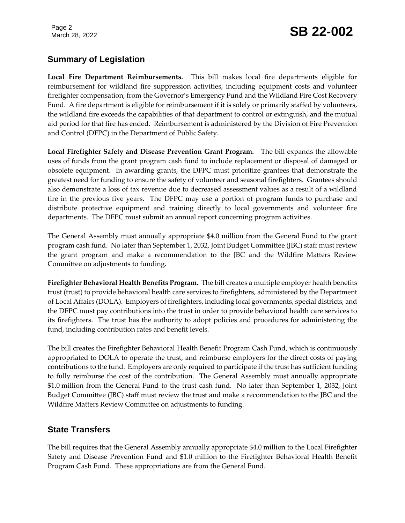Page 2

# Page 2<br>March 28, 2022 **SB 22-002**

# **Summary of Legislation**

**Local Fire Department Reimbursements.** This bill makes local fire departments eligible for reimbursement for wildland fire suppression activities, including equipment costs and volunteer firefighter compensation, from the Governor's Emergency Fund and the Wildland Fire Cost Recovery Fund. A fire department is eligible for reimbursement if it is solely or primarily staffed by volunteers, the wildland fire exceeds the capabilities of that department to control or extinguish, and the mutual aid period for that fire has ended. Reimbursement is administered by the Division of Fire Prevention and Control (DFPC) in the Department of Public Safety.

**Local Firefighter Safety and Disease Prevention Grant Program.** The bill expands the allowable uses of funds from the grant program cash fund to include replacement or disposal of damaged or obsolete equipment. In awarding grants, the DFPC must prioritize grantees that demonstrate the greatest need for funding to ensure the safety of volunteer and seasonal firefighters. Grantees should also demonstrate a loss of tax revenue due to decreased assessment values as a result of a wildland fire in the previous five years. The DFPC may use a portion of program funds to purchase and distribute protective equipment and training directly to local governments and volunteer fire departments. The DFPC must submit an annual report concerning program activities.

The General Assembly must annually appropriate \$4.0 million from the General Fund to the grant program cash fund. No later than September 1, 2032, Joint Budget Committee (JBC) staff must review the grant program and make a recommendation to the JBC and the Wildfire Matters Review Committee on adjustments to funding.

**Firefighter Behavioral Health Benefits Program.** The bill creates a multiple employer health benefits trust (trust) to provide behavioral health care services to firefighters, administered by the Department of Local Affairs (DOLA). Employers of firefighters, including local governments, special districts, and the DFPC must pay contributions into the trust in order to provide behavioral health care services to its firefighters. The trust has the authority to adopt policies and procedures for administering the fund, including contribution rates and benefit levels.

The bill creates the Firefighter Behavioral Health Benefit Program Cash Fund, which is continuously appropriated to DOLA to operate the trust, and reimburse employers for the direct costs of paying contributions to the fund. Employers are only required to participate if the trust has sufficient funding to fully reimburse the cost of the contribution. The General Assembly must annually appropriate \$1.0 million from the General Fund to the trust cash fund. No later than September 1, 2032, Joint Budget Committee (JBC) staff must review the trust and make a recommendation to the JBC and the Wildfire Matters Review Committee on adjustments to funding.

# **State Transfers**

The bill requires that the General Assembly annually appropriate \$4.0 million to the Local Firefighter Safety and Disease Prevention Fund and \$1.0 million to the Firefighter Behavioral Health Benefit Program Cash Fund. These appropriations are from the General Fund.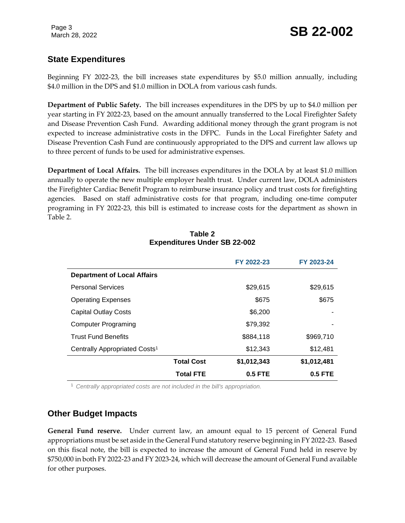# **State Expenditures**

Beginning FY 2022-23, the bill increases state expenditures by \$5.0 million annually, including \$4.0 million in the DPS and \$1.0 million in DOLA from various cash funds.

**Department of Public Safety.** The bill increases expenditures in the DPS by up to \$4.0 million per year starting in FY 2022-23, based on the amount annually transferred to the Local Firefighter Safety and Disease Prevention Cash Fund. Awarding additional money through the grant program is not expected to increase administrative costs in the DFPC. Funds in the Local Firefighter Safety and Disease Prevention Cash Fund are continuously appropriated to the DPS and current law allows up to three percent of funds to be used for administrative expenses.

**Department of Local Affairs.** The bill increases expenditures in the DOLA by at least \$1.0 million annually to operate the new multiple employer health trust. Under current law, DOLA administers the Firefighter Cardiac Benefit Program to reimburse insurance policy and trust costs for firefighting agencies. Based on staff administrative costs for that program, including one-time computer programing in FY 2022-23, this bill is estimated to increase costs for the department as shown in Table 2.

|                                           |                   | FY 2022-23  | FY 2023-24  |
|-------------------------------------------|-------------------|-------------|-------------|
| <b>Department of Local Affairs</b>        |                   |             |             |
| <b>Personal Services</b>                  |                   | \$29.615    | \$29,615    |
| <b>Operating Expenses</b>                 |                   | \$675       | \$675       |
| <b>Capital Outlay Costs</b>               |                   | \$6,200     |             |
| Computer Programing                       |                   | \$79,392    |             |
| <b>Trust Fund Benefits</b>                |                   | \$884,118   | \$969,710   |
| Centrally Appropriated Costs <sup>1</sup> |                   | \$12,343    | \$12,481    |
|                                           | <b>Total Cost</b> | \$1,012,343 | \$1,012,481 |
|                                           | <b>Total FTE</b>  | $0.5$ FTE   | $0.5$ FTE   |

#### **Table 2 Expenditures Under SB 22-002**

<sup>1</sup> *Centrally appropriated costs are not included in the bill's appropriation.*

# **Other Budget Impacts**

**General Fund reserve.** Under current law, an amount equal to 15 percent of General Fund appropriations must be set aside in the General Fund statutory reserve beginning in FY 2022-23. Based on this fiscal note, the bill is expected to increase the amount of General Fund held in reserve by \$750,000 in both FY 2022-23 and FY 2023-24, which will decrease the amount of General Fund available for other purposes.